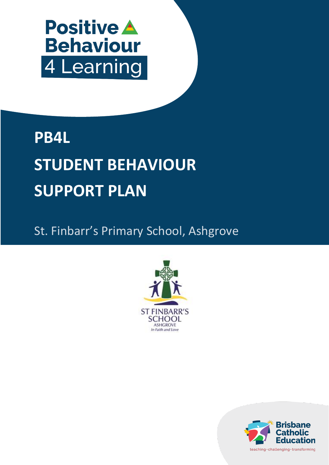

# **PB4L STUDENT BEHAVIOUR SUPPORT PLAN**

St. Finbarr's Primary School, Ashgrove



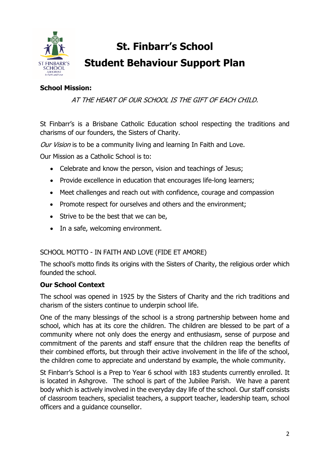

# **St. Finbarr's School Student Behaviour Support Plan**

# **School Mission:**

AT THE HEART OF OUR SCHOOL IS THE GIFT OF EACH CHILD.

St Finbarr's is a Brisbane Catholic Education school respecting the traditions and charisms of our founders, the Sisters of Charity.

Our Vision is to be a community living and learning In Faith and Love.

Our Mission as a Catholic School is to:

- Celebrate and know the person, vision and teachings of Jesus;
- Provide excellence in education that encourages life-long learners;
- Meet challenges and reach out with confidence, courage and compassion
- Promote respect for ourselves and others and the environment;
- Strive to be the best that we can be,
- In a safe, welcoming environment.

# SCHOOL MOTTO - IN FAITH AND LOVE (FIDE ET AMORE)

The school's motto finds its origins with the Sisters of Charity, the religious order which founded the school.

# **Our School Context**

The school was opened in 1925 by the Sisters of Charity and the rich traditions and charism of the sisters continue to underpin school life.

One of the many blessings of the school is a strong partnership between home and school, which has at its core the children. The children are blessed to be part of a community where not only does the energy and enthusiasm, sense of purpose and commitment of the parents and staff ensure that the children reap the benefits of their combined efforts, but through their active involvement in the life of the school, the children come to appreciate and understand by example, the whole community.

St Finbarr's School is a Prep to Year 6 school with 183 students currently enrolled. It is located in Ashgrove. The school is part of the Jubilee Parish. We have a parent body which is actively involved in the everyday day life of the school. Our staff consists of classroom teachers, specialist teachers, a support teacher, leadership team, school officers and a guidance counsellor.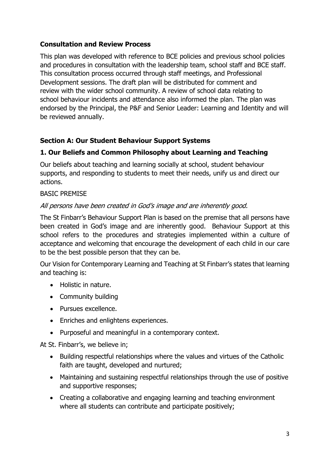# **Consultation and Review Process**

This plan was developed with reference to BCE policies and previous school policies and procedures in consultation with the leadership team, school staff and BCE staff. This consultation process occurred through staff meetings, and Professional Development sessions. The draft plan will be distributed for comment and review with the wider school community. A review of school data relating to school behaviour incidents and attendance also informed the plan. The plan was endorsed by the Principal, the P&F and Senior Leader: Learning and Identity and will be reviewed annually.

#### **Section A: Our Student Behaviour Support Systems**

# **1. Our Beliefs and Common Philosophy about Learning and Teaching**

Our beliefs about teaching and learning socially at school, student behaviour supports, and responding to students to meet their needs, unify us and direct our actions.

#### BASIC PREMISE

#### All persons have been created in God's image and are inherently good.

The St Finbarr's Behaviour Support Plan is based on the premise that all persons have been created in God's image and are inherently good. Behaviour Support at this school refers to the procedures and strategies implemented within a culture of acceptance and welcoming that encourage the development of each child in our care to be the best possible person that they can be.

Our Vision for Contemporary Learning and Teaching at St Finbarr's states that learning and teaching is:

- Holistic in nature.
- Community building
- Pursues excellence.
- Enriches and enlightens experiences.
- Purposeful and meaningful in a contemporary context.

At St. Finbarr's, we believe in;

- Building respectful relationships where the values and virtues of the Catholic faith are taught, developed and nurtured;
- Maintaining and sustaining respectful relationships through the use of positive and supportive responses;
- Creating a collaborative and engaging learning and teaching environment where all students can contribute and participate positively;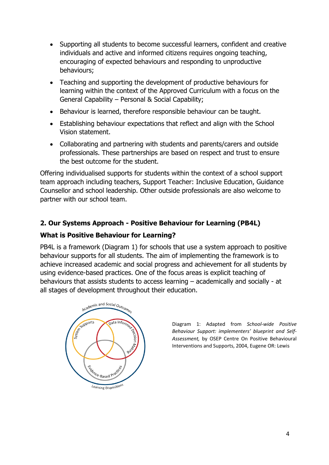- Supporting all students to become successful learners, confident and creative individuals and active and informed citizens requires ongoing teaching, encouraging of expected behaviours and responding to unproductive behaviours;
- Teaching and supporting the development of productive behaviours for learning within the context of the Approved Curriculum with a focus on the General Capability – Personal & Social Capability;
- Behaviour is learned, therefore responsible behaviour can be taught.
- Establishing behaviour expectations that reflect and align with the School Vision statement.
- Collaborating and partnering with students and parents/carers and outside professionals. These partnerships are based on respect and trust to ensure the best outcome for the student.

Offering individualised supports for students within the context of a school support team approach including teachers, Support Teacher: Inclusive Education, Guidance Counsellor and school leadership. Other outside professionals are also welcome to partner with our school team.

# **2. Our Systems Approach - Positive Behaviour for Learning (PB4L)**

# **What is Positive Behaviour for Learning?**

PB4L is a framework (Diagram 1) for schools that use a system approach to positive behaviour supports for all students. The aim of implementing the framework is to achieve increased academic and social progress and achievement for all students by using evidence-based practices. One of the focus areas is explicit teaching of behaviours that assists students to access learning – academically and socially - at all stages of development throughout their education.



Diagram 1: Adapted from *School-wide Positive Behaviour Support: implementers' blueprint and Self-Assessment,* by OSEP Centre On Positive Behavioural Interventions and Supports, 2004, Eugene OR: Lewis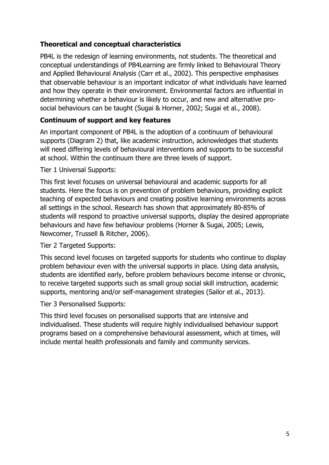# **Theoretical and conceptual characteristics**

PB4L is the redesign of learning environments, not students. The theoretical and conceptual understandings of PB4Learning are firmly linked to Behavioural Theory and Applied Behavioural Analysis (Carr et al., 2002). This perspective emphasises that observable behaviour is an important indicator of what individuals have learned and how they operate in their environment. Environmental factors are influential in determining whether a behaviour is likely to occur, and new and alternative prosocial behaviours can be taught (Sugai & Horner, 2002; Sugai et al., 2008).

# **Continuum of support and key features**

An important component of PB4L is the adoption of a continuum of behavioural supports (Diagram 2) that, like academic instruction, acknowledges that students will need differing levels of behavioural interventions and supports to be successful at school. Within the continuum there are three levels of support.

#### Tier 1 Universal Supports:

This first level focuses on universal behavioural and academic supports for all students. Here the focus is on prevention of problem behaviours, providing explicit teaching of expected behaviours and creating positive learning environments across all settings in the school. Research has shown that approximately 80-85% of students will respond to proactive universal supports, display the desired appropriate behaviours and have few behaviour problems (Horner & Sugai, 2005; Lewis, Newcomer, Trussell & Ritcher, 2006).

Tier 2 Targeted Supports:

This second level focuses on targeted supports for students who continue to display problem behaviour even with the universal supports in place. Using data analysis, students are identified early, before problem behaviours become intense or chronic, to receive targeted supports such as small group social skill instruction, academic supports, mentoring and/or self-management strategies (Sailor et al., 2013).

Tier 3 Personalised Supports:

This third level focuses on personalised supports that are intensive and individualised. These students will require highly individualised behaviour support programs based on a comprehensive behavioural assessment, which at times, will include mental health professionals and family and community services.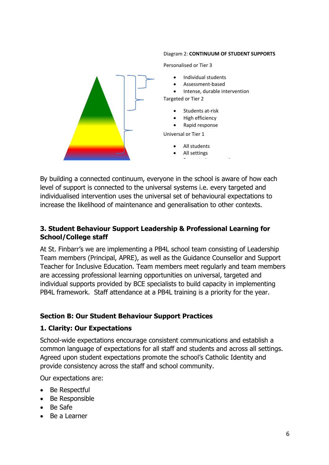#### Diagram 2: **CONTINUUM OF STUDENT SUPPORTS**

Personalised or Tier 3



By building a connected continuum, everyone in the school is aware of how each level of support is connected to the universal systems i.e. every targeted and individualised intervention uses the universal set of behavioural expectations to increase the likelihood of maintenance and generalisation to other contexts.

#### **3. Student Behaviour Support Leadership & Professional Learning for School/College staff**

At St. Finbarr's we are implementing a PB4L school team consisting of Leadership Team members (Principal, APRE), as well as the Guidance Counsellor and Support Teacher for Inclusive Education. Team members meet regularly and team members are accessing professional learning opportunities on universal, targeted and individual supports provided by BCE specialists to build capacity in implementing PB4L framework. Staff attendance at a PB4L training is a priority for the year.

#### **Section B: Our Student Behaviour Support Practices**

#### **1. Clarity: Our Expectations**

School-wide expectations encourage consistent communications and establish a common language of expectations for all staff and students and across all settings. Agreed upon student expectations promote the school's Catholic Identity and provide consistency across the staff and school community.

Our expectations are:

- Be Respectful
- Be Responsible
- Be Safe
- Be a Learner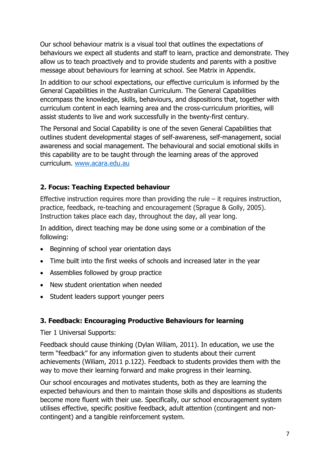Our school behaviour matrix is a visual tool that outlines the expectations of behaviours we expect all students and staff to learn, practice and demonstrate. They allow us to teach proactively and to provide students and parents with a positive message about behaviours for learning at school. See Matrix in Appendix.

In addition to our school expectations, our effective curriculum is informed by the General Capabilities in the Australian Curriculum. The General Capabilities encompass the knowledge, skills, behaviours, and dispositions that, together with curriculum content in each learning area and the cross-curriculum priorities, will assist students to live and work successfully in the twenty-first century.

The Personal and Social Capability is one of the seven General Capabilities that outlines student developmental stages of self-awareness, self-management, social awareness and social management. The behavioural and social emotional skills in this capability are to be taught through the learning areas of the approved curriculum. www.acara.edu.au

# **2. Focus: Teaching Expected behaviour**

Effective instruction requires more than providing the rule  $-$  it requires instruction, practice, feedback, re-teaching and encouragement (Sprague & Golly, 2005). Instruction takes place each day, throughout the day, all year long.

In addition, direct teaching may be done using some or a combination of the following:

- Beginning of school year orientation days
- Time built into the first weeks of schools and increased later in the year
- Assemblies followed by group practice
- New student orientation when needed
- Student leaders support younger peers

# **3. Feedback: Encouraging Productive Behaviours for learning**

Tier 1 Universal Supports:

Feedback should cause thinking (Dylan Wiliam, 2011). In education, we use the term "feedback" for any information given to students about their current achievements (Wiliam, 2011 p.122). Feedback to students provides them with the way to move their learning forward and make progress in their learning.

Our school encourages and motivates students, both as they are learning the expected behaviours and then to maintain those skills and dispositions as students become more fluent with their use. Specifically, our school encouragement system utilises effective, specific positive feedback, adult attention (contingent and noncontingent) and a tangible reinforcement system.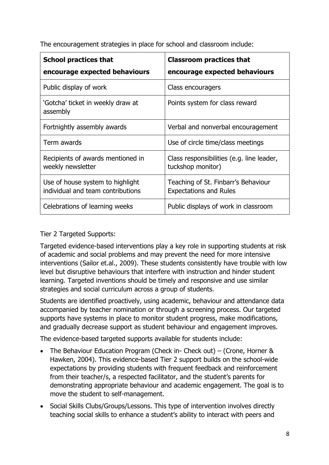The encouragement strategies in place for school and classroom include:

| <b>School practices that</b><br>encourage expected behaviours         | <b>Classroom practices that</b><br>encourage expected behaviours     |
|-----------------------------------------------------------------------|----------------------------------------------------------------------|
| Public display of work                                                | Class encouragers                                                    |
| 'Gotcha' ticket in weekly draw at<br>assembly                         | Points system for class reward                                       |
| Fortnightly assembly awards                                           | Verbal and nonverbal encouragement                                   |
| Term awards                                                           | Use of circle time/class meetings                                    |
| Recipients of awards mentioned in<br>weekly newsletter                | Class responsibilities (e.g. line leader,<br>tuckshop monitor)       |
| Use of house system to highlight<br>individual and team contributions | Teaching of St. Finbarr's Behaviour<br><b>Expectations and Rules</b> |
| Celebrations of learning weeks                                        | Public displays of work in classroom                                 |

# Tier 2 Targeted Supports:

Targeted evidence-based interventions play a key role in supporting students at risk of academic and social problems and may prevent the need for more intensive interventions (Sailor et.al., 2009). These students consistently have trouble with low level but disruptive behaviours that interfere with instruction and hinder student learning. Targeted inventions should be timely and responsive and use similar strategies and social curriculum across a group of students.

Students are identified proactively, using academic, behaviour and attendance data accompanied by teacher nomination or through a screening process. Our targeted supports have systems in place to monitor student progress, make modifications, and gradually decrease support as student behaviour and engagement improves.

The evidence-based targeted supports available for students include:

- The Behaviour Education Program (Check in- Check out) (Crone, Horner & Hawken, 2004). This evidence-based Tier 2 support builds on the school-wide expectations by providing students with frequent feedback and reinforcement from their teacher/s, a respected facilitator, and the student's parents for demonstrating appropriate behaviour and academic engagement. The goal is to move the student to self-management.
- Social Skills Clubs/Groups/Lessons. This type of intervention involves directly teaching social skills to enhance a student's ability to interact with peers and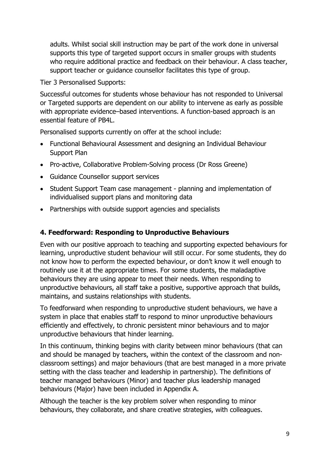adults. Whilst social skill instruction may be part of the work done in universal supports this type of targeted support occurs in smaller groups with students who require additional practice and feedback on their behaviour. A class teacher, support teacher or guidance counsellor facilitates this type of group.

Tier 3 Personalised Supports:

Successful outcomes for students whose behaviour has not responded to Universal or Targeted supports are dependent on our ability to intervene as early as possible with appropriate evidence–based interventions. A function-based approach is an essential feature of PB4L.

Personalised supports currently on offer at the school include:

- Functional Behavioural Assessment and designing an Individual Behaviour Support Plan
- Pro-active, Collaborative Problem-Solving process (Dr Ross Greene)
- Guidance Counsellor support services
- Student Support Team case management planning and implementation of individualised support plans and monitoring data
- Partnerships with outside support agencies and specialists

#### **4. Feedforward: Responding to Unproductive Behaviours**

Even with our positive approach to teaching and supporting expected behaviours for learning, unproductive student behaviour will still occur. For some students, they do not know how to perform the expected behaviour, or don't know it well enough to routinely use it at the appropriate times. For some students, the maladaptive behaviours they are using appear to meet their needs. When responding to unproductive behaviours, all staff take a positive, supportive approach that builds, maintains, and sustains relationships with students.

To feedforward when responding to unproductive student behaviours, we have a system in place that enables staff to respond to minor unproductive behaviours efficiently and effectively, to chronic persistent minor behaviours and to major unproductive behaviours that hinder learning.

In this continuum, thinking begins with clarity between minor behaviours (that can and should be managed by teachers, within the context of the classroom and nonclassroom settings) and major behaviours (that are best managed in a more private setting with the class teacher and leadership in partnership). The definitions of teacher managed behaviours (Minor) and teacher plus leadership managed behaviours (Major) have been included in Appendix A.

Although the teacher is the key problem solver when responding to minor behaviours, they collaborate, and share creative strategies, with colleagues.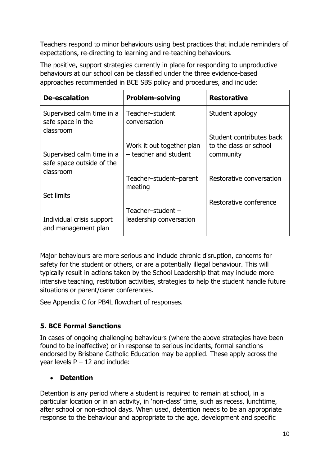Teachers respond to minor behaviours using best practices that include reminders of expectations, re-directing to learning and re-teaching behaviours.

The positive, support strategies currently in place for responding to unproductive behaviours at our school can be classified under the three evidence-based approaches recommended in BCE SBS policy and procedures, and include:

| <b>De-escalation</b><br><b>Problem-solving</b>                      |                                                    | <b>Restorative</b>                                 |
|---------------------------------------------------------------------|----------------------------------------------------|----------------------------------------------------|
| Supervised calm time in a<br>safe space in the<br>classroom         | Teacher-student<br>conversation                    | Student apology                                    |
|                                                                     | Work it out together plan<br>- teacher and student | Student contributes back<br>to the class or school |
| Supervised calm time in a<br>safe space outside of the<br>classroom |                                                    | community                                          |
|                                                                     | Teacher-student-parent<br>meeting                  | Restorative conversation                           |
| Set limits                                                          |                                                    | Restorative conference                             |
|                                                                     | Teacher-student-                                   |                                                    |
| Individual crisis support<br>and management plan                    | leadership conversation                            |                                                    |

Major behaviours are more serious and include chronic disruption, concerns for safety for the student or others, or are a potentially illegal behaviour. This will typically result in actions taken by the School Leadership that may include more intensive teaching, restitution activities, strategies to help the student handle future situations or parent/carer conferences.

See Appendix C for PB4L flowchart of responses.

# **5. BCE Formal Sanctions**

In cases of ongoing challenging behaviours (where the above strategies have been found to be ineffective) or in response to serious incidents, formal sanctions endorsed by Brisbane Catholic Education may be applied. These apply across the year levels  $P - 12$  and include:

# • **Detention**

Detention is any period where a student is required to remain at school, in a particular location or in an activity, in 'non-class' time, such as recess, lunchtime, after school or non-school days. When used, detention needs to be an appropriate response to the behaviour and appropriate to the age, development and specific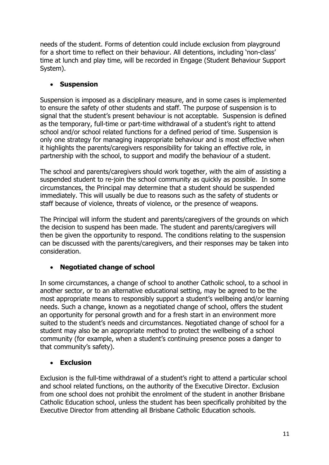needs of the student. Forms of detention could include exclusion from playground for a short time to reflect on their behaviour. All detentions, including 'non-class' time at lunch and play time, will be recorded in Engage (Student Behaviour Support System).

# • **Suspension**

Suspension is imposed as a disciplinary measure, and in some cases is implemented to ensure the safety of other students and staff. The purpose of suspension is to signal that the student's present behaviour is not acceptable. Suspension is defined as the temporary, full-time or part-time withdrawal of a student's right to attend school and/or school related functions for a defined period of time. Suspension is only one strategy for managing inappropriate behaviour and is most effective when it highlights the parents/caregivers responsibility for taking an effective role, in partnership with the school, to support and modify the behaviour of a student.

The school and parents/caregivers should work together, with the aim of assisting a suspended student to re-join the school community as quickly as possible. In some circumstances, the Principal may determine that a student should be suspended immediately. This will usually be due to reasons such as the safety of students or staff because of violence, threats of violence, or the presence of weapons.

The Principal will inform the student and parents/caregivers of the grounds on which the decision to suspend has been made. The student and parents/caregivers will then be given the opportunity to respond. The conditions relating to the suspension can be discussed with the parents/caregivers, and their responses may be taken into consideration.

# • **Negotiated change of school**

In some circumstances, a change of school to another Catholic school, to a school in another sector, or to an alternative educational setting, may be agreed to be the most appropriate means to responsibly support a student's wellbeing and/or learning needs. Such a change, known as a negotiated change of school, offers the student an opportunity for personal growth and for a fresh start in an environment more suited to the student's needs and circumstances. Negotiated change of school for a student may also be an appropriate method to protect the wellbeing of a school community (for example, when a student's continuing presence poses a danger to that community's safety).

#### • **Exclusion**

Exclusion is the full-time withdrawal of a student's right to attend a particular school and school related functions, on the authority of the Executive Director. Exclusion from one school does not prohibit the enrolment of the student in another Brisbane Catholic Education school, unless the student has been specifically prohibited by the Executive Director from attending all Brisbane Catholic Education schools.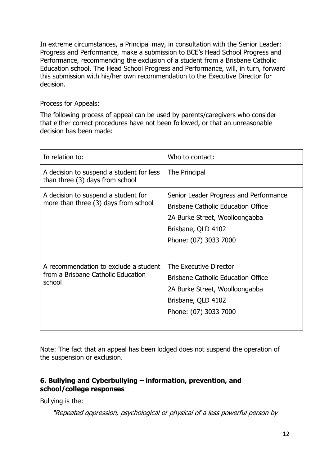In extreme circumstances, a Principal may, in consultation with the Senior Leader: Progress and Performance, make a submission to BCE's Head School Progress and Performance, recommending the exclusion of a student from a Brisbane Catholic Education school. The Head School Progress and Performance, will, in turn, forward this submission with his/her own recommendation to the Executive Director for decision.

#### Process for Appeals:

The following process of appeal can be used by parents/caregivers who consider that either correct procedures have not been followed, or that an unreasonable decision has been made:

| In relation to:                                                                       | Who to contact:                                                                                                                                                      |
|---------------------------------------------------------------------------------------|----------------------------------------------------------------------------------------------------------------------------------------------------------------------|
| A decision to suspend a student for less<br>than three (3) days from school           | The Principal                                                                                                                                                        |
| A decision to suspend a student for<br>more than three (3) days from school           | Senior Leader Progress and Performance<br><b>Brisbane Catholic Education Office</b><br>2A Burke Street, Woolloongabba<br>Brisbane, QLD 4102<br>Phone: (07) 3033 7000 |
| A recommendation to exclude a student<br>from a Brisbane Catholic Education<br>school | The Executive Director<br><b>Brisbane Catholic Education Office</b><br>2A Burke Street, Woolloongabba<br>Brisbane, QLD 4102<br>Phone: (07) 3033 7000                 |

Note: The fact that an appeal has been lodged does not suspend the operation of the suspension or exclusion.

# **6. Bullying and Cyberbullying – information, prevention, and school/college responses**

Bullying is the:

"Repeated oppression, psychological or physical of a less powerful person by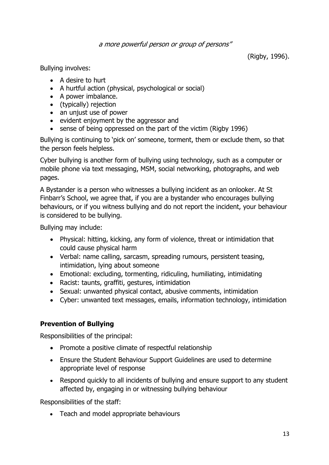#### a more powerful person or group of persons"

(Rigby, 1996).

Bullying involves:

- A desire to hurt
- A hurtful action (physical, psychological or social)
- A power imbalance.
- (typically) rejection
- an unjust use of power
- evident enjoyment by the aggressor and
- sense of being oppressed on the part of the victim (Rigby 1996)

Bullying is continuing to 'pick on' someone, torment, them or exclude them, so that the person feels helpless.

Cyber bullying is another form of bullying using technology, such as a computer or mobile phone via text messaging, MSM, social networking, photographs, and web pages.

A Bystander is a person who witnesses a bullying incident as an onlooker. At St Finbarr's School, we agree that, if you are a bystander who encourages bullying behaviours, or if you witness bullying and do not report the incident, your behaviour is considered to be bullying.

Bullying may include:

- Physical: hitting, kicking, any form of violence, threat or intimidation that could cause physical harm
- Verbal: name calling, sarcasm, spreading rumours, persistent teasing, intimidation, lying about someone
- Emotional: excluding, tormenting, ridiculing, humiliating, intimidating
- Racist: taunts, graffiti, gestures, intimidation
- Sexual: unwanted physical contact, abusive comments, intimidation
- Cyber: unwanted text messages, emails, information technology, intimidation

# **Prevention of Bullying**

Responsibilities of the principal:

- Promote a positive climate of respectful relationship
- Ensure the Student Behaviour Support Guidelines are used to determine appropriate level of response
- Respond quickly to all incidents of bullying and ensure support to any student affected by, engaging in or witnessing bullying behaviour

Responsibilities of the staff:

• Teach and model appropriate behaviours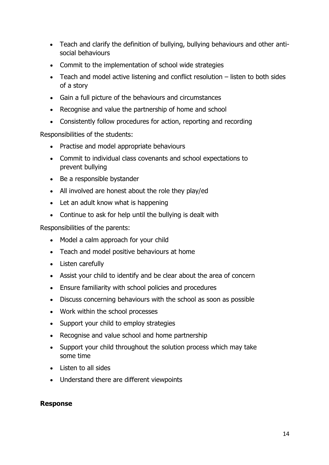- Teach and clarify the definition of bullying, bullying behaviours and other antisocial behaviours
- Commit to the implementation of school wide strategies
- Teach and model active listening and conflict resolution listen to both sides of a story
- Gain a full picture of the behaviours and circumstances
- Recognise and value the partnership of home and school
- Consistently follow procedures for action, reporting and recording

Responsibilities of the students:

- Practise and model appropriate behaviours
- Commit to individual class covenants and school expectations to prevent bullying
- Be a responsible bystander
- All involved are honest about the role they play/ed
- Let an adult know what is happening
- Continue to ask for help until the bullying is dealt with

Responsibilities of the parents:

- Model a calm approach for your child
- Teach and model positive behaviours at home
- Listen carefully
- Assist your child to identify and be clear about the area of concern
- Ensure familiarity with school policies and procedures
- Discuss concerning behaviours with the school as soon as possible
- Work within the school processes
- Support your child to employ strategies
- Recognise and value school and home partnership
- Support your child throughout the solution process which may take some time
- Listen to all sides
- Understand there are different viewpoints

#### **Response**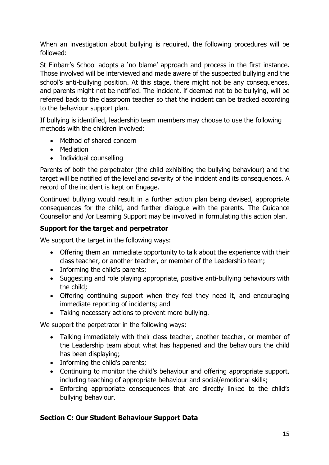When an investigation about bullying is required, the following procedures will be followed:

St Finbarr's School adopts a 'no blame' approach and process in the first instance. Those involved will be interviewed and made aware of the suspected bullying and the school's anti-bullying position. At this stage, there might not be any consequences, and parents might not be notified. The incident, if deemed not to be bullying, will be referred back to the classroom teacher so that the incident can be tracked according to the behaviour support plan.

If bullying is identified, leadership team members may choose to use the following methods with the children involved:

- Method of shared concern
- Mediation
- Individual counselling

Parents of both the perpetrator (the child exhibiting the bullying behaviour) and the target will be notified of the level and severity of the incident and its consequences. A record of the incident is kept on Engage.

Continued bullying would result in a further action plan being devised, appropriate consequences for the child, and further dialogue with the parents. The Guidance Counsellor and /or Learning Support may be involved in formulating this action plan.

# **Support for the target and perpetrator**

We support the target in the following ways:

- Offering them an immediate opportunity to talk about the experience with their class teacher, or another teacher, or member of the Leadership team;
- Informing the child's parents;
- Suggesting and role playing appropriate, positive anti-bullying behaviours with the child;
- Offering continuing support when they feel they need it, and encouraging immediate reporting of incidents; and
- Taking necessary actions to prevent more bullying.

We support the perpetrator in the following ways:

- Talking immediately with their class teacher, another teacher, or member of the Leadership team about what has happened and the behaviours the child has been displaying;
- Informing the child's parents;
- Continuing to monitor the child's behaviour and offering appropriate support, including teaching of appropriate behaviour and social/emotional skills;
- Enforcing appropriate consequences that are directly linked to the child's bullying behaviour.

# **Section C: Our Student Behaviour Support Data**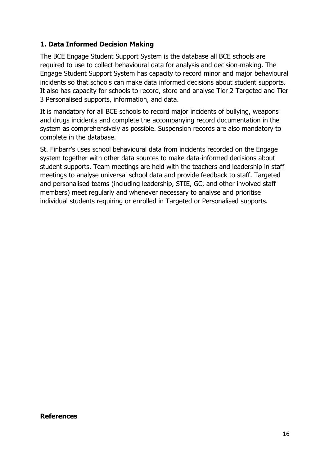# **1. Data Informed Decision Making**

The BCE Engage Student Support System is the database all BCE schools are required to use to collect behavioural data for analysis and decision-making. The Engage Student Support System has capacity to record minor and major behavioural incidents so that schools can make data informed decisions about student supports. It also has capacity for schools to record, store and analyse Tier 2 Targeted and Tier 3 Personalised supports, information, and data.

It is mandatory for all BCE schools to record major incidents of bullying, weapons and drugs incidents and complete the accompanying record documentation in the system as comprehensively as possible. Suspension records are also mandatory to complete in the database.

St. Finbarr's uses school behavioural data from incidents recorded on the Engage system together with other data sources to make data-informed decisions about student supports. Team meetings are held with the teachers and leadership in staff meetings to analyse universal school data and provide feedback to staff. Targeted and personalised teams (including leadership, STIE, GC, and other involved staff members) meet regularly and whenever necessary to analyse and prioritise individual students requiring or enrolled in Targeted or Personalised supports.

#### **References**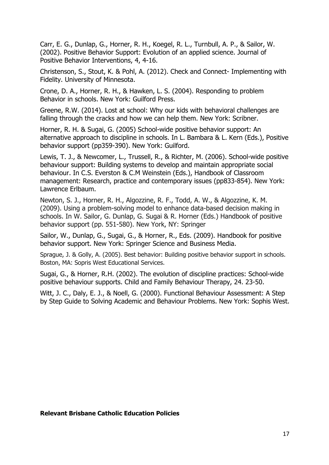Carr, E. G., Dunlap, G., Horner, R. H., Koegel, R. L., Turnbull, A. P., & Sailor, W. (2002). Positive Behavior Support: Evolution of an applied science. Journal of Positive Behavior Interventions, 4, 4-16.

Christenson, S., Stout, K. & Pohl, A. (2012). Check and Connect- Implementing with Fidelity. University of Minnesota.

Crone, D. A., Horner, R. H., & Hawken, L. S. (2004). Responding to problem Behavior in schools. New York: Guilford Press.

Greene, R.W. (2014). Lost at school: Why our kids with behavioral challenges are falling through the cracks and how we can help them. New York: Scribner.

Horner, R. H. & Sugai, G. (2005) School-wide positive behavior support: An alternative approach to discipline in schools. In L. Bambara & L. Kern (Eds.), Positive behavior support (pp359-390). New York: Guilford.

Lewis, T. J., & Newcomer, L., Trussell, R., & Richter, M. (2006). School-wide positive behaviour support: Building systems to develop and maintain appropriate social behaviour. In C.S. Everston & C.M Weinstein (Eds.), Handbook of Classroom management: Research, practice and contemporary issues (pp833-854). New York: Lawrence Erlbaum.

Newton, S. J., Horner, R. H., Algozzine, R. F., Todd, A. W., & Algozzine, K. M. (2009). Using a problem-solving model to enhance data-based decision making in schools. In W. Sailor, G. Dunlap, G. Sugai & R. Horner (Eds.) Handbook of positive behavior support (pp. 551-580). New York, NY: Springer

Sailor, W., Dunlap, G., Sugai, G., & Horner, R., Eds. (2009). Handbook for positive behavior support. New York: Springer Science and Business Media.

Sprague, J. & Golly, A. (2005). Best behavior: Building positive behavior support in schools. Boston, MA: Sopris West Educational Services.

Sugai, G., & Horner, R.H. (2002). The evolution of discipline practices: School-wide positive behaviour supports. Child and Family Behaviour Therapy, 24. 23-50.

Witt, J. C., Daly, E. J., & Noell, G. (2000). Functional Behaviour Assessment: A Step by Step Guide to Solving Academic and Behaviour Problems. New York: Sophis West.

#### **Relevant Brisbane Catholic Education Policies**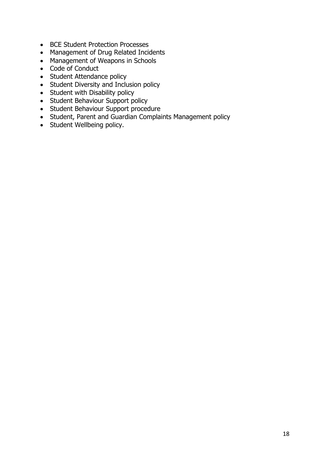- BCE Student Protection Processes
- Management of Drug Related Incidents
- Management of Weapons in Schools
- Code of Conduct
- Student Attendance policy
- Student Diversity and Inclusion policy
- Student with Disability policy
- Student Behaviour Support policy
- Student Behaviour Support procedure
- Student, Parent and Guardian Complaints Management policy
- Student Wellbeing policy.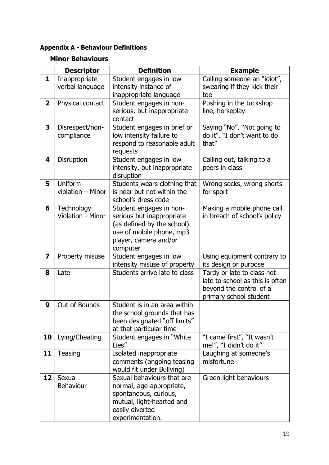# **Appendix A - Behaviour Definitions**

# **Minor Behaviours**

|                         | <b>Definition</b><br><b>Descriptor</b> |                                                               | <b>Example</b>                                      |  |
|-------------------------|----------------------------------------|---------------------------------------------------------------|-----------------------------------------------------|--|
| 1                       | Inappropriate                          | Student engages in low                                        | Calling someone an "idiot",                         |  |
|                         | verbal language                        | intensity instance of                                         | swearing if they kick their                         |  |
|                         |                                        | inappropriate language                                        | toe                                                 |  |
| $\overline{\mathbf{2}}$ | Physical contact                       | Student engages in non-                                       | Pushing in the tuckshop                             |  |
|                         |                                        | serious, but inappropriate                                    | line, horseplay                                     |  |
|                         |                                        | contact                                                       |                                                     |  |
| 3                       | Disrespect/non-                        | Student engages in brief or                                   | Saying "No", "Not going to                          |  |
|                         | compliance                             | low intensity failure to                                      | do it", "I don't want to do<br>that"                |  |
|                         |                                        | respond to reasonable adult<br>requests                       |                                                     |  |
| 4                       | Disruption                             | Student engages in low                                        | Calling out, talking to a                           |  |
|                         |                                        | intensity, but inappropriate                                  | peers in class                                      |  |
|                         |                                        | disruption                                                    |                                                     |  |
| 5                       | Uniform                                | Students wears clothing that                                  | Wrong socks, wrong shorts                           |  |
|                         | violation - Minor                      | is near but not within the                                    | for sport                                           |  |
|                         |                                        | school's dress code                                           |                                                     |  |
| 6                       | Technology                             | Student engages in non-                                       | Making a mobile phone call                          |  |
|                         | Violation - Minor                      | serious but inappropriate                                     | in breach of school's policy                        |  |
|                         |                                        | (as defined by the school)                                    |                                                     |  |
|                         |                                        | use of mobile phone, mp3                                      |                                                     |  |
|                         |                                        | player, camera and/or                                         |                                                     |  |
|                         |                                        | computer                                                      |                                                     |  |
| $\overline{\mathbf{z}}$ | Property misuse                        | Student engages in low                                        | Using equipment contrary to                         |  |
| 8                       | Late                                   | intensity misuse of property<br>Students arrive late to class | its design or purpose<br>Tardy or late to class not |  |
|                         |                                        |                                                               | late to school as this is often                     |  |
|                         |                                        |                                                               | beyond the control of a                             |  |
|                         |                                        |                                                               | primary school student                              |  |
| 9                       | Out of Bounds                          | Student is in an area within                                  |                                                     |  |
|                         |                                        | the school grounds that has                                   |                                                     |  |
|                         |                                        | been designated "off limits"                                  |                                                     |  |
|                         |                                        | at that particular time                                       |                                                     |  |
| 10                      | Lying/Cheating                         | Student engages in "White"                                    | "I came first", "It wasn't                          |  |
|                         |                                        | Lies"                                                         | me!", "I didn't do it"                              |  |
| 11                      | Teasing                                | Isolated inappropriate                                        | Laughing at someone's                               |  |
|                         |                                        | comments (ongoing teasing                                     | misfortune                                          |  |
| 12                      |                                        | would fit under Bullying)<br>Sexual behaviours that are       |                                                     |  |
|                         | Sexual<br><b>Behaviour</b>             | normal, age-appropriate,                                      | Green light behaviours                              |  |
|                         |                                        | spontaneous, curious,                                         |                                                     |  |
|                         |                                        | mutual, light-hearted and                                     |                                                     |  |
|                         |                                        | easily diverted                                               |                                                     |  |
|                         |                                        | experimentation.                                              |                                                     |  |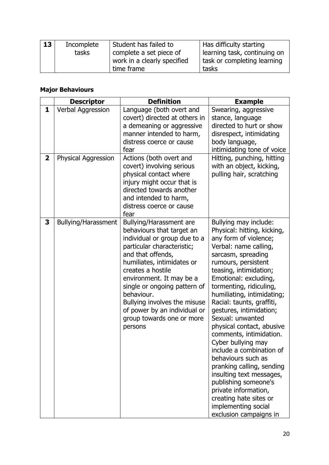| 13 | Incomplete | Student has failed to       | Has difficulty starting      |
|----|------------|-----------------------------|------------------------------|
|    | tasks      | complete a set piece of     | learning task, continuing on |
|    |            | work in a clearly specified | task or completing learning  |
|    |            | time frame                  | tasks                        |

# **Major Behaviours**

|                | <b>Descriptor</b>          | <b>Definition</b><br><b>Example</b> |                             |
|----------------|----------------------------|-------------------------------------|-----------------------------|
|                |                            |                                     |                             |
| 1              | Verbal Aggression          | Language (both overt and            | Swearing, aggressive        |
|                |                            | covert) directed at others in       | stance, language            |
|                |                            | a demeaning or aggressive           | directed to hurt or show    |
|                |                            | manner intended to harm,            | disrespect, intimidating    |
|                |                            | distress coerce or cause            | body language,              |
|                |                            | fear                                | intimidating tone of voice  |
| $\overline{2}$ | Physical Aggression        | Actions (both overt and             | Hitting, punching, hitting  |
|                |                            | covert) involving serious           | with an object, kicking,    |
|                |                            | physical contact where              | pulling hair, scratching    |
|                |                            | injury might occur that is          |                             |
|                |                            | directed towards another            |                             |
|                |                            | and intended to harm,               |                             |
|                |                            | distress coerce or cause            |                             |
|                |                            | fear                                |                             |
| 3              | <b>Bullying/Harassment</b> | Bullying/Harassment are             | Bullying may include:       |
|                |                            | behaviours that target an           | Physical: hitting, kicking, |
|                |                            | individual or group due to a        | any form of violence;       |
|                |                            | particular characteristic;          | Verbal: name calling,       |
|                |                            | and that offends,                   | sarcasm, spreading          |
|                |                            | humiliates, intimidates or          | rumours, persistent         |
|                |                            | creates a hostile                   | teasing, intimidation;      |
|                |                            | environment. It may be a            | Emotional: excluding,       |
|                |                            | single or ongoing pattern of        | tormenting, ridiculing,     |
|                |                            | behaviour.                          | humiliating, intimidating;  |
|                |                            | Bullying involves the misuse        | Racial: taunts, graffiti,   |
|                |                            | of power by an individual or        | gestures, intimidation;     |
|                |                            | group towards one or more           | Sexual: unwanted            |
|                |                            | persons                             | physical contact, abusive   |
|                |                            |                                     | comments, intimidation.     |
|                |                            |                                     | Cyber bullying may          |
|                |                            |                                     | include a combination of    |
|                |                            |                                     | behaviours such as          |
|                |                            |                                     | pranking calling, sending   |
|                |                            |                                     | insulting text messages,    |
|                |                            |                                     | publishing someone's        |
|                |                            |                                     |                             |
|                |                            |                                     | private information,        |
|                |                            |                                     | creating hate sites or      |
|                |                            |                                     | implementing social         |
|                |                            |                                     | exclusion campaigns in      |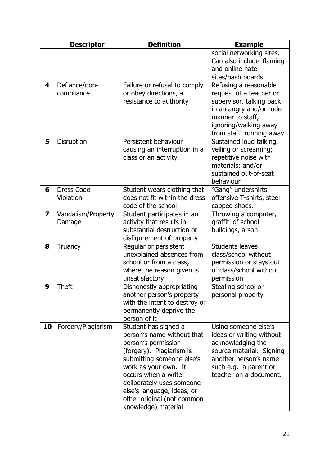|                         | <b>Descriptor</b>              | <b>Definition</b>                                                                                                                                                                                                                                                                                  | <b>Example</b>                                                                                                                                                                   |
|-------------------------|--------------------------------|----------------------------------------------------------------------------------------------------------------------------------------------------------------------------------------------------------------------------------------------------------------------------------------------------|----------------------------------------------------------------------------------------------------------------------------------------------------------------------------------|
|                         |                                |                                                                                                                                                                                                                                                                                                    | social networking sites.<br>Can also include 'flaming'<br>and online hate<br>sites/bash boards.                                                                                  |
| 4                       | Defiance/non-<br>compliance    | Failure or refusal to comply<br>or obey directions, a<br>resistance to authority                                                                                                                                                                                                                   | Refusing a reasonable<br>request of a teacher or<br>supervisor, talking back<br>in an angry and/or rude<br>manner to staff,<br>ignoring/walking away<br>from staff, running away |
| 5                       | Disruption                     | Persistent behaviour<br>causing an interruption in a<br>class or an activity                                                                                                                                                                                                                       | Sustained loud talking,<br>yelling or screaming;<br>repetitive noise with<br>materials; and/or<br>sustained out-of-seat<br>behaviour                                             |
| 6                       | <b>Dress Code</b><br>Violation | Student wears clothing that<br>does not fit within the dress<br>code of the school                                                                                                                                                                                                                 | "Gang" undershirts,<br>offensive T-shirts, steel<br>capped shoes.                                                                                                                |
| $\overline{\mathbf{z}}$ | Vandalism/Property<br>Damage   | Student participates in an<br>activity that results in<br>substantial destruction or<br>disfigurement of property                                                                                                                                                                                  | Throwing a computer,<br>graffiti of school<br>buildings, arson                                                                                                                   |
| 8                       | Truancy                        | Regular or persistent<br>unexplained absences from<br>school or from a class,<br>where the reason given is<br>unsatisfactory                                                                                                                                                                       | <b>Students leaves</b><br>class/school without<br>permission or stays out<br>of class/school without<br>permission                                                               |
| 9                       | <b>Theft</b>                   | Dishonestly appropriating<br>another person's property<br>with the intent to destroy or<br>permanently deprive the<br>person of it                                                                                                                                                                 | Stealing school or<br>personal property                                                                                                                                          |
| 10                      | Forgery/Plagiarism             | Student has signed a<br>person's name without that<br>person's permission<br>(forgery). Plagiarism is<br>submitting someone else's<br>work as your own. It<br>occurs when a writer<br>deliberately uses someone<br>else's language, ideas, or<br>other original (not common<br>knowledge) material | Using someone else's<br>ideas or writing without<br>acknowledging the<br>source material. Signing<br>another person's name<br>such e.g. a parent or<br>teacher on a document.    |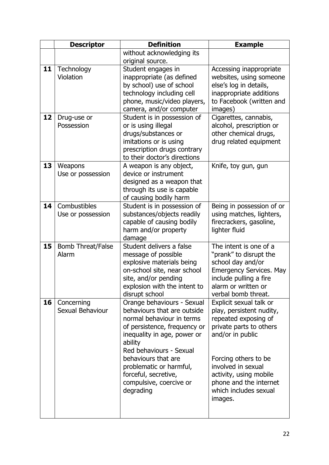|    | <b>Descriptor</b>              | <b>Definition</b>                                        |                                                    |
|----|--------------------------------|----------------------------------------------------------|----------------------------------------------------|
|    |                                | without acknowledging its                                |                                                    |
|    |                                | original source.                                         |                                                    |
| 11 | Technology<br>Violation        | Student engages in<br>inappropriate (as defined          | Accessing inappropriate<br>websites, using someone |
|    |                                | by school) use of school                                 | else's log in details,                             |
|    |                                | technology including cell                                | inappropriate additions                            |
|    |                                | phone, music/video players,                              | to Facebook (written and                           |
|    |                                | camera, and/or computer                                  | images)                                            |
| 12 | Drug-use or                    | Student is in possession of                              | Cigarettes, cannabis,                              |
|    | Possession                     | or is using illegal                                      | alcohol, prescription or                           |
|    |                                | drugs/substances or                                      | other chemical drugs,                              |
|    |                                | imitations or is using                                   | drug related equipment                             |
|    |                                | prescription drugs contrary                              |                                                    |
| 13 | Weapons                        | to their doctor's directions<br>A weapon is any object,  | Knife, toy gun, gun                                |
|    | Use or possession              | device or instrument                                     |                                                    |
|    |                                | designed as a weapon that                                |                                                    |
|    |                                | through its use is capable                               |                                                    |
|    |                                | of causing bodily harm                                   |                                                    |
| 14 | Combustibles                   | Student is in possession of                              | Being in possession of or                          |
|    | Use or possession              | substances/objects readily                               | using matches, lighters,                           |
|    |                                | capable of causing bodily                                | firecrackers, gasoline,                            |
|    |                                | harm and/or property                                     | lighter fluid                                      |
| 15 | <b>Bomb Threat/False</b>       | damage<br>Student delivers a false                       | The intent is one of a                             |
|    | Alarm                          | message of possible                                      | "prank" to disrupt the                             |
|    |                                | explosive materials being                                | school day and/or                                  |
|    |                                | on-school site, near school                              | <b>Emergency Services. May</b>                     |
|    |                                | site, and/or pending                                     | include pulling a fire                             |
|    |                                | explosion with the intent to                             | alarm or written or                                |
|    |                                | disrupt school                                           | verbal bomb threat.                                |
| 16 | Concerning<br>Sexual Behaviour | Orange behaviours - Sexual                               | Explicit sexual talk or                            |
|    |                                | behaviours that are outside<br>normal behaviour in terms | play, persistent nudity,<br>repeated exposing of   |
|    |                                | of persistence, frequency or                             | private parts to others                            |
|    |                                | inequality in age, power or                              | and/or in public                                   |
|    |                                | ability                                                  |                                                    |
|    |                                | Red behaviours - Sexual                                  |                                                    |
|    |                                | behaviours that are                                      | Forcing others to be                               |
|    |                                | problematic or harmful,                                  | involved in sexual                                 |
|    |                                | forceful, secretive,                                     | activity, using mobile                             |
|    |                                | compulsive, coercive or<br>degrading                     | phone and the internet<br>which includes sexual    |
|    |                                |                                                          | images.                                            |
|    |                                |                                                          |                                                    |
|    |                                |                                                          |                                                    |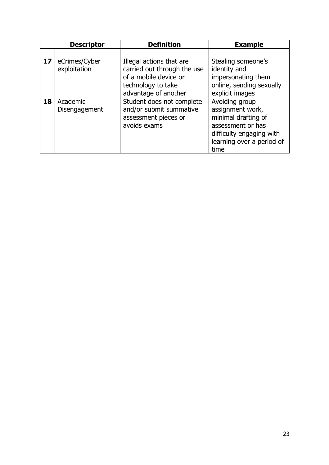|                 | <b>Descriptor</b><br><b>Definition</b> |                                                                                                                                | <b>Example</b>                                                                                                                                  |
|-----------------|----------------------------------------|--------------------------------------------------------------------------------------------------------------------------------|-------------------------------------------------------------------------------------------------------------------------------------------------|
|                 |                                        |                                                                                                                                |                                                                                                                                                 |
| 17 <sup>2</sup> | eCrimes/Cyber<br>exploitation          | Illegal actions that are<br>carried out through the use<br>of a mobile device or<br>technology to take<br>advantage of another | Stealing someone's<br>identity and<br>impersonating them<br>online, sending sexually<br>explicit images                                         |
| 18              | Academic<br>Disengagement              | Student does not complete<br>and/or submit summative<br>assessment pieces or<br>avoids exams                                   | Avoiding group<br>assignment work,<br>minimal drafting of<br>assessment or has<br>difficulty engaging with<br>learning over a period of<br>time |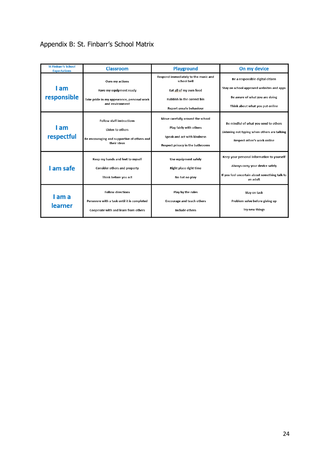# Appendix B: St. Finbarr's School Matrix

| <b>St Finbarr's School</b><br><b>Expectations</b> | <b>Classroom</b>                                                                                                   | <b>Playground</b>                                                                                                                      | On my device                                                                                                                                       |
|---------------------------------------------------|--------------------------------------------------------------------------------------------------------------------|----------------------------------------------------------------------------------------------------------------------------------------|----------------------------------------------------------------------------------------------------------------------------------------------------|
| l am<br>responsible                               | Own my actions<br>Have my equipment ready<br>Take pride in my appearance, personal work<br>and environment         | Respond immediately to the music and<br>school bell<br>Eat all of my own food<br>Rubbish in the correct bin<br>Report unsafe behaviour | Be a responsible digital citizen<br>Stay on school approved websites and apps<br>Be aware of what you are doing<br>Think about what you put online |
| l am<br>respectful                                | <b>Follow staff instructions</b><br>Listen to others<br>Be encouraging and supportive of others and<br>their ideas | Move carefully around the school<br>Play fairly with others<br>Speak and act with kindness<br>Respect privacy in the bathrooms         | Be mindful of what you send to others<br>Listening not typing when others are talking<br>Respect other's work online                               |
| I am safe                                         | Keep my hands and feet to myself<br><b>Consider others and property</b><br>Think before you act                    | Use equipment safely<br>Right place right time<br>No hat no play                                                                       | Keep your personal information to yourself<br>Always carry your device safely<br>If you feel uncertain about something talk to<br>an adult         |
| I am a<br>learner                                 | <b>Follow directions</b><br>Persevere with a task until it is completed<br>Cooperate with and learn from others    | Play by the rules<br>Encourage and teach others<br>Include others                                                                      | Stay on task<br>Problem solve before giving up<br>Try new things                                                                                   |